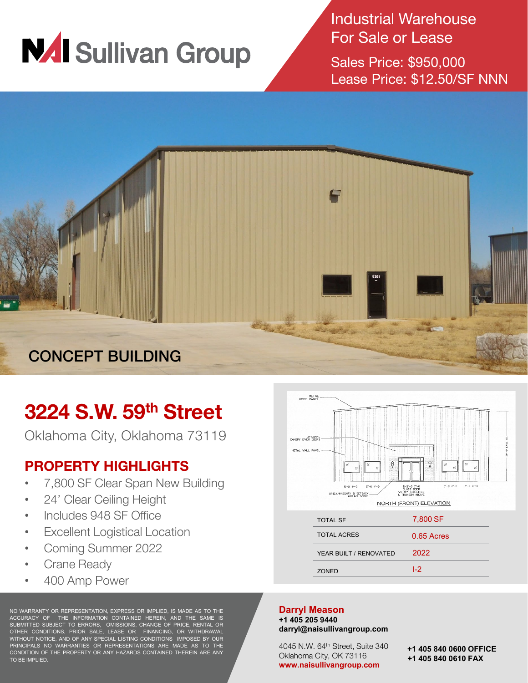

Industrial Warehouse For Sale or Lease

Sales Price: \$950,000 Lease Price: \$12.50/SF NNN



# **3224 S.W. 59th Street**

Oklahoma City, Oklahoma 73119

## **PROPERTY HIGHLIGHTS**

- 7,800 SF Clear Span New Building
- 24' Clear Ceiling Height
- Includes 948 SF Office
- Excellent Logistical Location
- Coming Summer 2022
- **Crane Ready**
- 400 Amp Power

NO WARRANTY OR REPRESENTATION, EXPRESS OR IMPLIED, IS MADE AS TO THE ACCURACY OF THE INFORMATION CONTAINED HEREIN, AND THE SAME IS SUBMITTED SUBJECT TO ERRORS, OMISSIONS, CHANGE OF PRICE, RENTAL OR OTHER CONDITIONS, PRIOR SALE, LEASE OR FINANCING, OR WITHDRAWAL WITHOUT NOTICE, AND OF ANY SPECIAL LISTING CONDITIONS IMPOSED BY OUR PRINCIPALS NO WARRANTIES OR REPRESENTATIONS ARE MADE AS TO THE CONDITION OF THE PROPERTY OR ANY HAZARDS CONTAINED THEREIN ARE ANY TO BE IMPLIED.



I-2

### **Darryl Meason**

**+1 405 205 9440 darryl@naisullivangroup.com**

ZONED

4045 N.W. 64th Street, Suite 340 Oklahoma City, OK 73116 **www.naisullivangroup.com**

**+1 405 840 0600 OFFICE +1 405 840 0610 FAX**